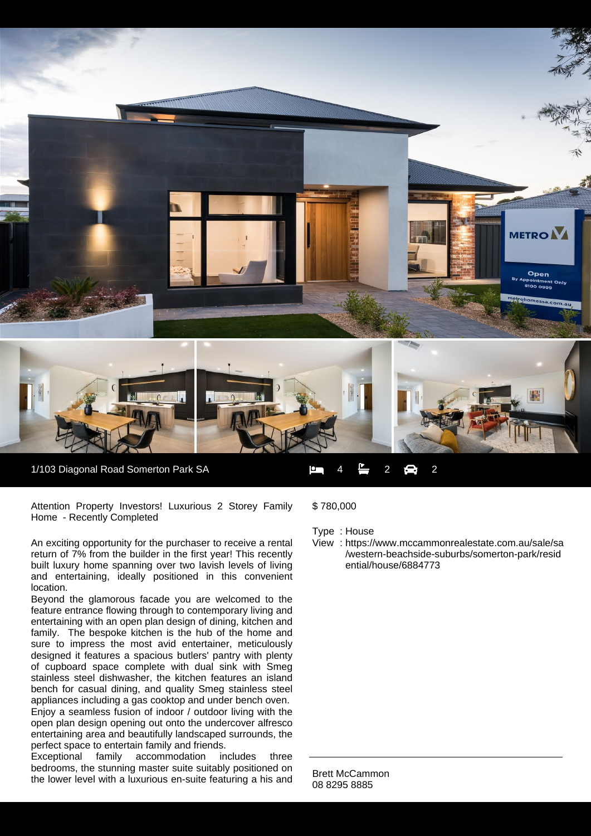

1/103 Diagonal Road Somerton Park SA  $\begin{array}{ccc} 1 & 4 & -2 & -2 \\ -2 & 2 & -2 \end{array}$  2

Attention Property Investors! Luxurious 2 Storey Family Home - Recently Completed

An exciting opportunity for the purchaser to receive a rental return of 7% from the builder in the first year! This recently built luxury home spanning over two lavish levels of living and entertaining, ideally positioned in this convenient location.

Beyond the glamorous facade you are welcomed to the feature entrance flowing through to contemporary living and entertaining with an open plan design of dining, kitchen and family. The bespoke kitchen is the hub of the home and sure to impress the most avid entertainer, meticulously designed it features a spacious butlers' pantry with plenty of cupboard space complete with dual sink with Smeg stainless steel dishwasher, the kitchen features an island bench for casual dining, and quality Smeg stainless steel appliances including a gas cooktop and under bench oven.

Enjoy a seamless fusion of indoor / outdoor living with the open plan design opening out onto the undercover alfresco entertaining area and beautifully landscaped surrounds, the perfect space to entertain family and friends.

Exceptional family accommodation includes three bedrooms, the stunning master suite suitably positioned on the lower level with a luxurious en-suite featuring a his and \$ 780,000

Type : House

View : https://www.mccammonrealestate.com.au/sale/sa /western-beachside-suburbs/somerton-park/resid ential/house/6884773